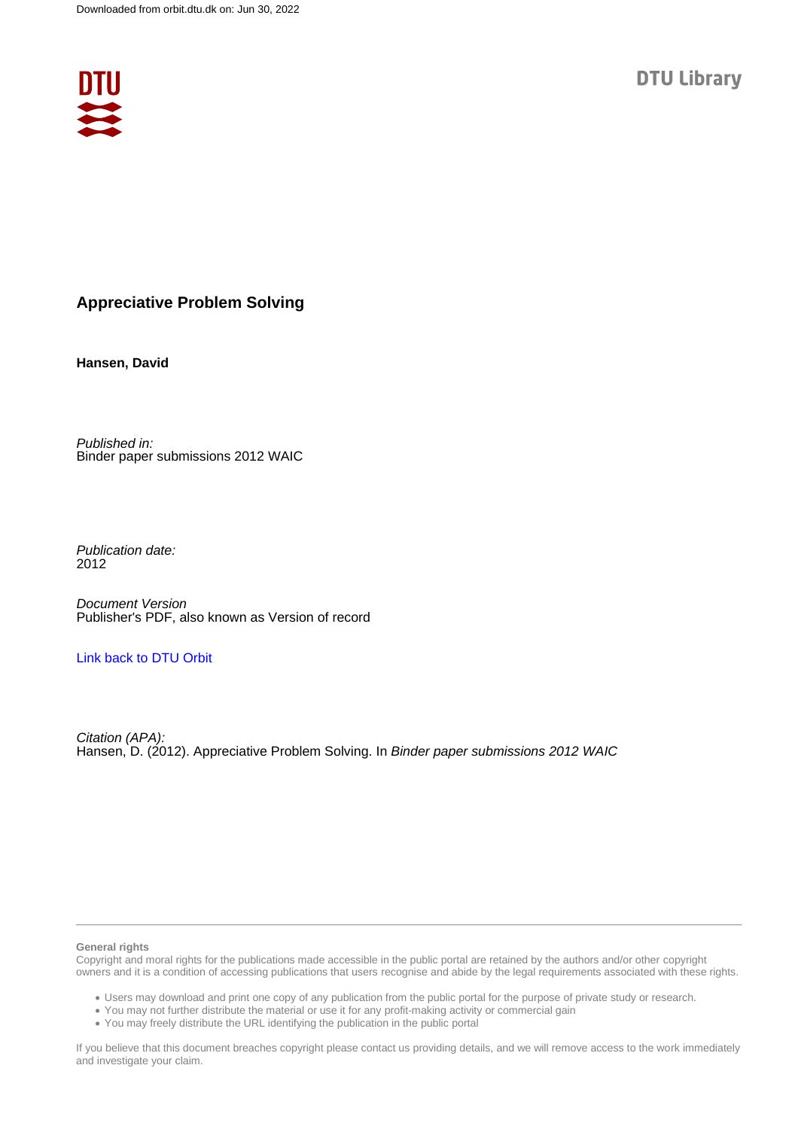

### **Appreciative Problem Solving**

**Hansen, David**

Published in: Binder paper submissions 2012 WAIC

Publication date: 2012

Document Version Publisher's PDF, also known as Version of record

#### [Link back to DTU Orbit](https://orbit.dtu.dk/en/publications/a77934b3-e752-446e-8385-1913581727ee)

Citation (APA): Hansen, D. (2012). Appreciative Problem Solving. In Binder paper submissions 2012 WAIC

#### **General rights**

Copyright and moral rights for the publications made accessible in the public portal are retained by the authors and/or other copyright owners and it is a condition of accessing publications that users recognise and abide by the legal requirements associated with these rights.

Users may download and print one copy of any publication from the public portal for the purpose of private study or research.

- You may not further distribute the material or use it for any profit-making activity or commercial gain
- You may freely distribute the URL identifying the publication in the public portal

If you believe that this document breaches copyright please contact us providing details, and we will remove access to the work immediately and investigate your claim.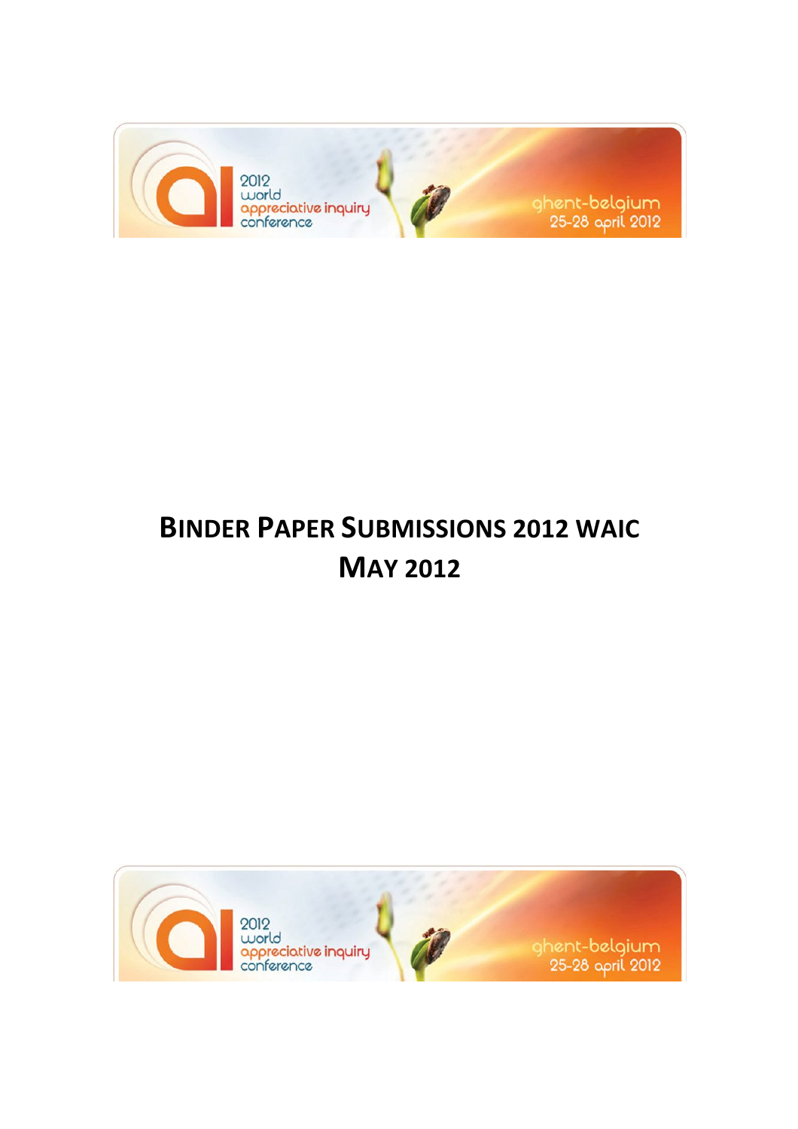

# **BINDER PAPER SUBMISSIONS 2012 WAIC MAY 2012**

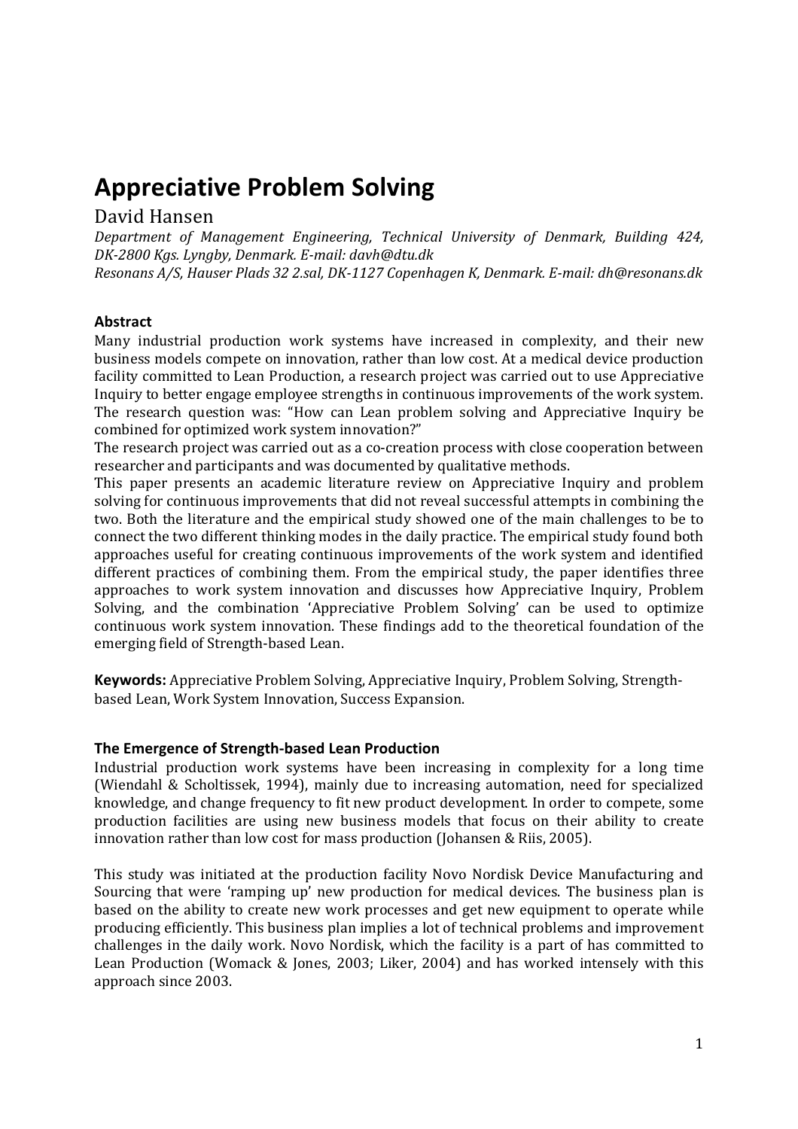## **Appreciative Problem Solving**

### David!Hansen

*Department) of) Management) Engineering,) Technical) University) of) Denmark,) Building) 424, DK-2800 Kgs. Lyngby, Denmark. E-mail: davh@dtu.dk Resonans A/S, Hauser Plads 32 2.sal, DK-1127 Copenhagen K, Denmark, E-mail: dh@resonans.dk* 

#### **Abstract**

Many industrial production work systems have increased in complexity, and their new business models compete on innovation, rather than low cost. At a medical device production facility committed to Lean Production, a research project was carried out to use Appreciative Inquiry to better engage employee strengths in continuous improvements of the work system. The research question was: "How can Lean problem solving and Appreciative Inquiry be combined for optimized work system innovation?"

The research project was carried out as a co-creation process with close cooperation between researcher and participants and was documented by qualitative methods.

This paper presents an academic literature review on Appreciative Inquiry and problem solving for continuous improvements that did not reveal successful attempts in combining the two. Both the literature and the empirical study showed one of the main challenges to be to connect the two different thinking modes in the daily practice. The empirical study found both approaches useful for creating continuous improvements of the work system and identified different practices of combining them. From the empirical study, the paper identifies three approaches to work system innovation and discusses how Appreciative Inquiry, Problem Solving, and the combination 'Appreciative Problem Solving' can be used to optimize continuous work system innovation. These findings add to the theoretical foundation of the emerging field of Strength-based Lean.

Keywords: Appreciative Problem Solving, Appreciative Inquiry, Problem Solving, Strengthbased Lean, Work System Innovation, Success Expansion.

#### **The Emergence of Strength-based Lean Production**

Industrial production work systems have been increasing in complexity for a long time (Wiendahl & Scholtissek, 1994), mainly due to increasing automation, need for specialized knowledge, and change frequency to fit new product development. In order to compete, some production facilities are using new business models that focus on their ability to create innovation rather than low cost for mass production (Johansen & Riis, 2005).

This study was initiated at the production facility Novo Nordisk Device Manufacturing and Sourcing that were 'ramping up' new production for medical devices. The business plan is based on the ability to create new work processes and get new equipment to operate while producing efficiently. This business plan implies a lot of technical problems and improvement challenges in the daily work. Novo Nordisk, which the facility is a part of has committed to Lean Production (Womack & Jones, 2003; Liker, 2004) and has worked intensely with this approach since 2003.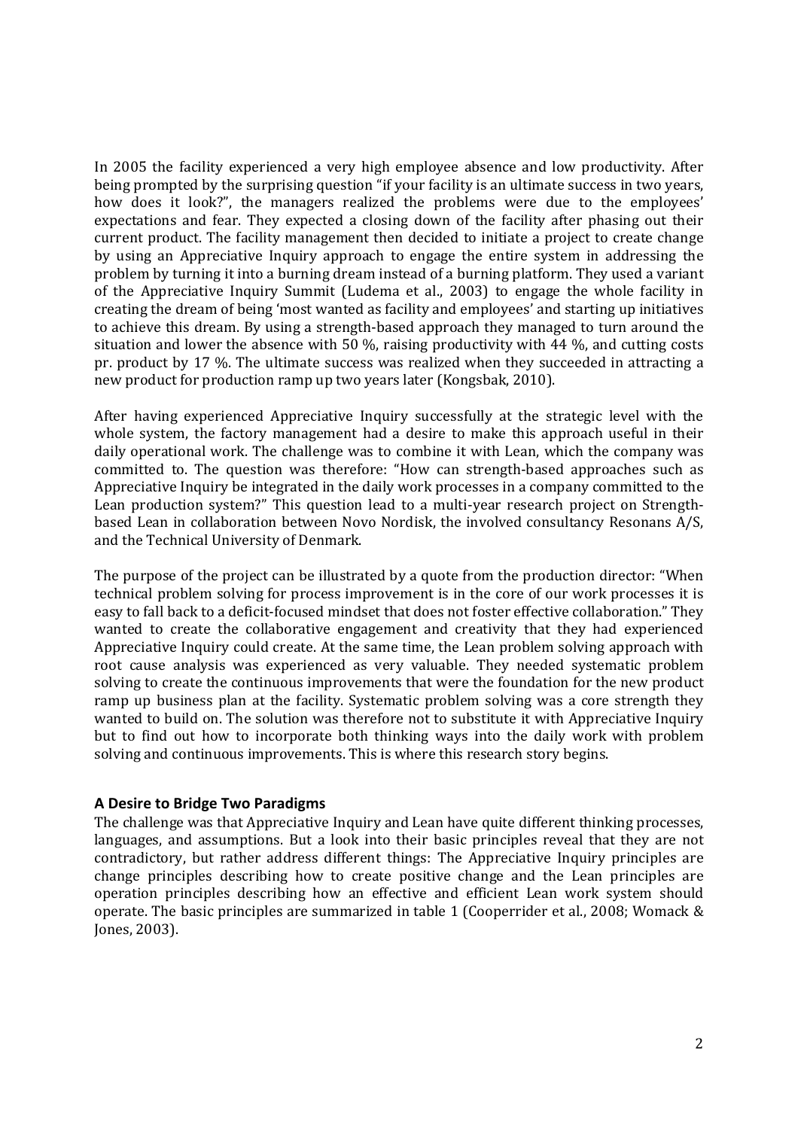In 2005 the facility experienced a very high employee absence and low productivity. After being prompted by the surprising question "if your facility is an ultimate success in two years, how does it look?", the managers realized the problems were due to the employees' expectations and fear. They expected a closing down of the facility after phasing out their current product. The facility management then decided to initiate a project to create change by using an Appreciative Inquiry approach to engage the entire system in addressing the problem by turning it into a burning dream instead of a burning platform. They used a variant of the Appreciative Inquiry Summit (Ludema et al., 2003) to engage the whole facility in creating the dream of being 'most wanted as facility and employees' and starting up initiatives to achieve this dream. By using a strength-based approach they managed to turn around the situation and lower the absence with 50 %, raising productivity with 44 %, and cutting costs pr. product by 17 %. The ultimate success was realized when they succeeded in attracting a new product for production ramp up two years later (Kongsbak, 2010).

After having experienced Appreciative Inquiry successfully at the strategic level with the whole system, the factory management had a desire to make this approach useful in their daily operational work. The challenge was to combine it with Lean, which the company was committed to. The question was therefore: "How can strength-based approaches such as Appreciative Inquiry be integrated in the daily work processes in a company committed to the Lean production system?" This question lead to a multi-year research project on Strengthbased Lean in collaboration between Novo Nordisk, the involved consultancy Resonans A/S, and the Technical University of Denmark.

The purpose of the project can be illustrated by a quote from the production director: "When technical problem solving for process improvement is in the core of our work processes it is easy to fall back to a deficit-focused mindset that does not foster effective collaboration." They wanted to create the collaborative engagement and creativity that they had experienced Appreciative Inquiry could create. At the same time, the Lean problem solving approach with root cause analysis was experienced as very valuable. They needed systematic problem solving to create the continuous improvements that were the foundation for the new product ramp up business plan at the facility. Systematic problem solving was a core strength they wanted to build on. The solution was therefore not to substitute it with Appreciative Inquiry but to find out how to incorporate both thinking ways into the daily work with problem solving and continuous improvements. This is where this research story begins.

#### **A\*Desire to\*Bridge\*Two\*Paradigms**

The challenge was that Appreciative Inquiry and Lean have quite different thinking processes, languages, and assumptions. But a look into their basic principles reveal that they are not contradictory, but rather address different things: The Appreciative Inquiry principles are change principles describing how to create positive change and the Lean principles are operation principles describing how an effective and efficient Lean work system should operate. The basic principles are summarized in table 1 (Cooperrider et al., 2008; Womack & Jones, 2003).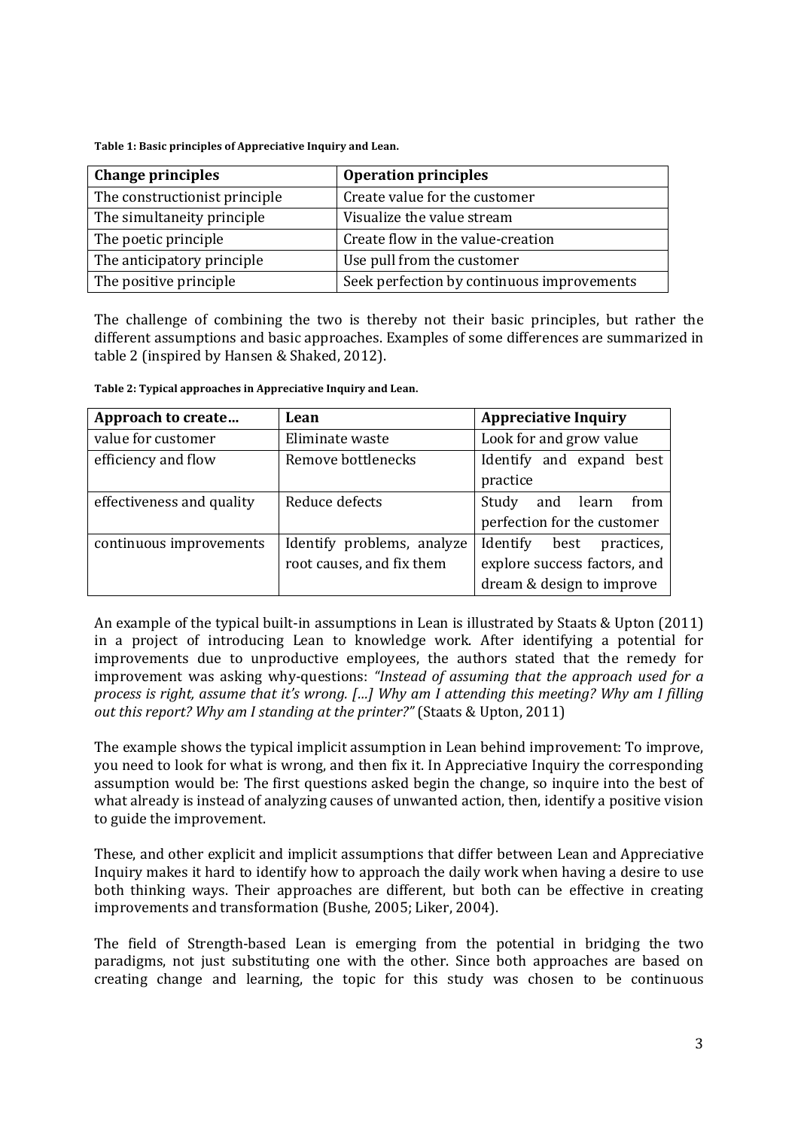Table 1: Basic principles of Appreciative Inquiry and Lean.

| <b>Change principles</b>      | <b>Operation principles</b>                |
|-------------------------------|--------------------------------------------|
| The constructionist principle | Create value for the customer              |
| The simultaneity principle    | Visualize the value stream                 |
| The poetic principle          | Create flow in the value-creation          |
| The anticipatory principle    | Use pull from the customer                 |
| The positive principle        | Seek perfection by continuous improvements |

The challenge of combining the two is thereby not their basic principles, but rather the different assumptions and basic approaches. Examples of some differences are summarized in table 2 (inspired by Hansen & Shaked, 2012).

**Table 2: Typical approaches in Appreciative Inquiry and Lean.** 

| Approach to create        | Lean                       | <b>Appreciative Inquiry</b>    |
|---------------------------|----------------------------|--------------------------------|
| value for customer        | Eliminate waste            | Look for and grow value        |
| efficiency and flow       | Remove bottlenecks         | Identify and expand best       |
|                           |                            | practice                       |
| effectiveness and quality | Reduce defects             | Study<br>and learn<br>from     |
|                           |                            | perfection for the customer    |
| continuous improvements   | Identify problems, analyze | Identify<br>best<br>practices. |
|                           | root causes, and fix them  | explore success factors, and   |
|                           |                            | dream & design to improve      |

An example of the typical built-in assumptions in Lean is illustrated by Staats & Upton (2011) in a project of introducing Lean to knowledge work. After identifying a potential for improvements due to unproductive employees, the authors stated that the remedy for improvement was asking why-questions: "Instead of assuming that the approach used for a *process is right, assume that it's wrong.* [...] Why am I attending this meeting? Why am I filling *out this report? Why am I standing at the printer?"* (Staats & Upton, 2011)

The example shows the typical implicit assumption in Lean behind improvement: To improve, you need to look for what is wrong, and then fix it. In Appreciative Inquiry the corresponding assumption would be: The first questions asked begin the change, so inquire into the best of what already is instead of analyzing causes of unwanted action, then, identify a positive vision to guide the improvement.

These, and other explicit and implicit assumptions that differ between Lean and Appreciative Inquiry makes it hard to identify how to approach the daily work when having a desire to use both thinking ways. Their approaches are different, but both can be effective in creating improvements and transformation (Bushe, 2005; Liker, 2004).

The field of Strength-based Lean is emerging from the potential in bridging the two paradigms, not just substituting one with the other. Since both approaches are based on creating change and learning, the topic for this study was chosen to be continuous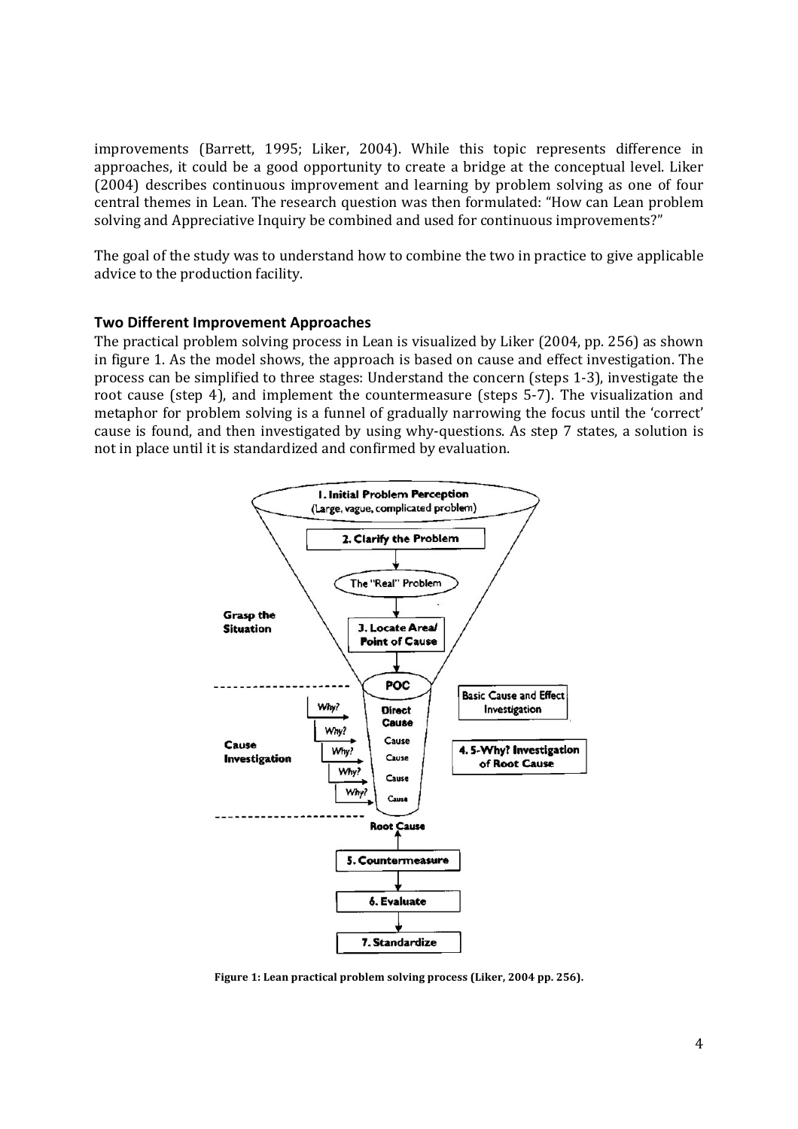improvements (Barrett, 1995; Liker, 2004). While this topic represents difference in approaches, it could be a good opportunity to create a bridge at the conceptual level. Liker  $(2004)$  describes continuous improvement and learning by problem solving as one of four central themes in Lean. The research question was then formulated: "How can Lean problem solving and Appreciative Inquiry be combined and used for continuous improvements?"

The goal of the study was to understand how to combine the two in practice to give applicable advice to the production facility.

#### **Two Different Improvement Approaches**

The practical problem solving process in Lean is visualized by Liker  $(2004, \text{pp. } 256)$  as shown in figure 1. As the model shows, the approach is based on cause and effect investigation. The process can be simplified to three stages: Understand the concern (steps 1-3), investigate the root cause (step 4), and implement the countermeasure (steps 5-7). The visualization and metaphor for problem solving is a funnel of gradually narrowing the focus until the 'correct' cause is found, and then investigated by using why-questions. As step 7 states, a solution is not in place until it is standardized and confirmed by evaluation.



**Figure** 1: Lean practical problem solving process (Liker, 2004 pp. 256).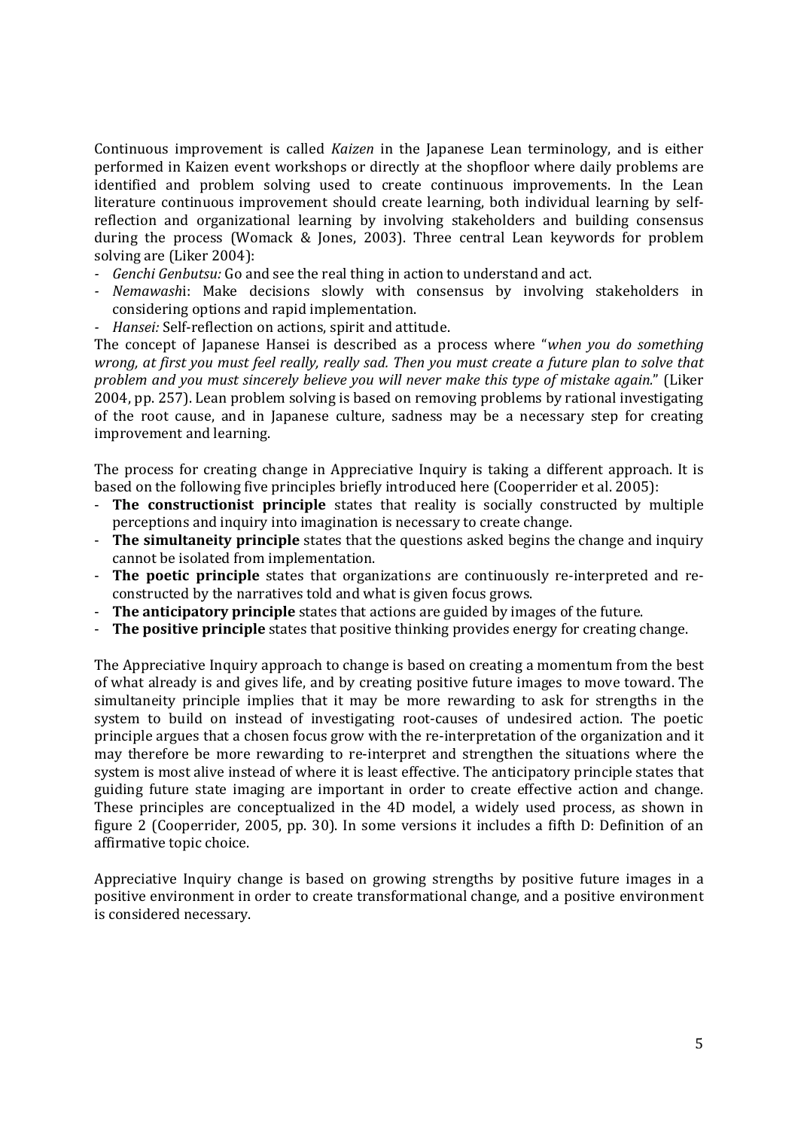Continuous improvement is called *Kaizen* in the Japanese Lean terminology, and is either performed in Kaizen event workshops or directly at the shopfloor where daily problems are identified and problem solving used to create continuous improvements. In the Lean literature continuous improvement should create learning, both individual learning by selfreflection and organizational learning by involving stakeholders and building consensus during the process (Womack & Jones, 2003). Three central Lean keywords for problem solving are (Liker 2004):

- *Cenchi Genbutsu:* Go and see the real thing in action to understand and act.
- *a Nemawashi*: Make decisions slowly with consensus by involving stakeholders in considering options and rapid implementation.
- *Alansei:* Self-reflection on actions, spirit and attitude.

The concept of Japanese Hansei is described as a process where "*when you do something wrong, at first you must feel really, really sad. Then you must create a future plan to solve that problem and you must sincerely believe you will never make this type of mistake again.*" (Liker 2004, pp. 257). Lean problem solving is based on removing problems by rational investigating of the root cause, and in Japanese culture, sadness may be a necessary step for creating improvement and learning.

The process for creating change in Appreciative Inquiry is taking a different approach. It is based on the following five principles briefly introduced here (Cooperrider et al. 2005):

- The constructionist principle states that reality is socially constructed by multiple perceptions and inquiry into imagination is necessary to create change.
- Fig. The simultaneity principle states that the questions asked begins the change and inquiry cannot be isolated from implementation.
- Fig. The poetic principle states that organizations are continuously re-interpreted and reconstructed by the narratives told and what is given focus grows.
- Figure 2. The anticipatory principle states that actions are guided by images of the future.
- The positive principle states that positive thinking provides energy for creating change.

The Appreciative Inquiry approach to change is based on creating a momentum from the best of what already is and gives life, and by creating positive future images to move toward. The simultaneity principle implies that it may be more rewarding to ask for strengths in the system to build on instead of investigating root-causes of undesired action. The poetic principle argues that a chosen focus grow with the re-interpretation of the organization and it may therefore be more rewarding to re-interpret and strengthen the situations where the system is most alive instead of where it is least effective. The anticipatory principle states that guiding future state imaging are important in order to create effective action and change. These principles are conceptualized in the 4D model, a widely used process, as shown in figure 2 (Cooperrider, 2005, pp. 30). In some versions it includes a fifth D: Definition of an affirmative topic choice.

Appreciative Inquiry change is based on growing strengths by positive future images in a positive environment in order to create transformational change, and a positive environment is considered necessary.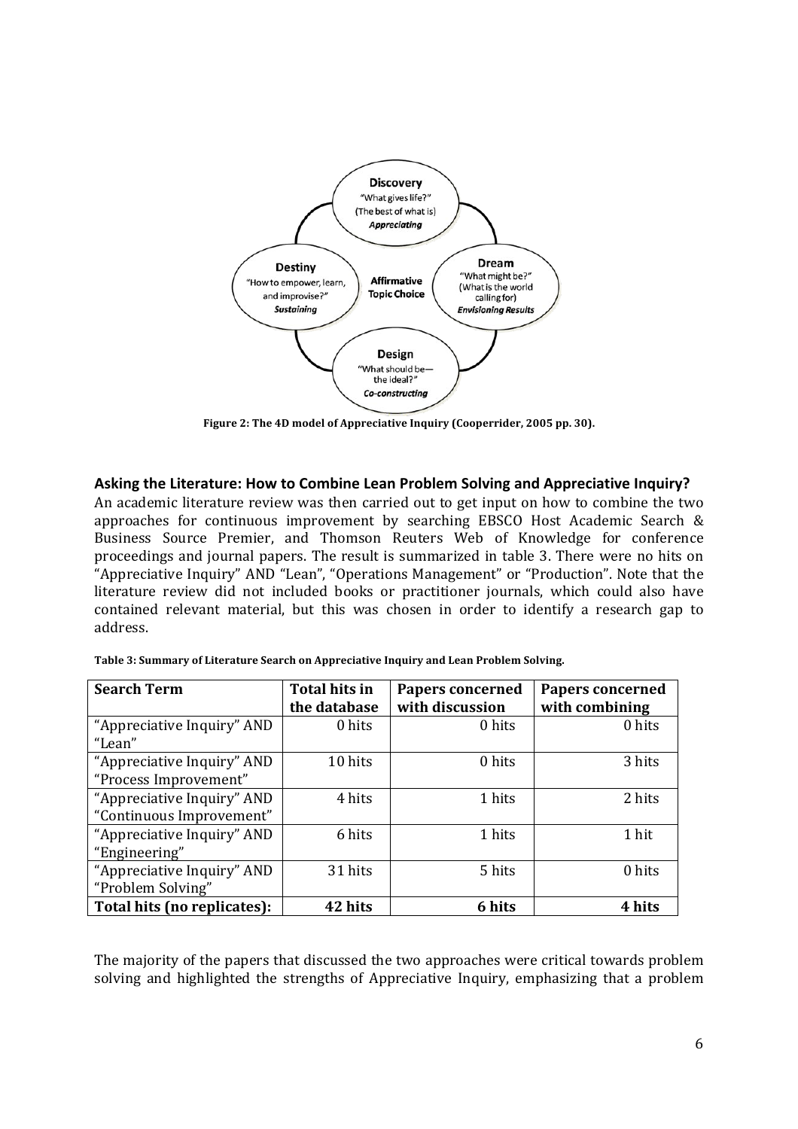

Figure 2: The 4D model of Appreciative Inquiry (Cooperrider, 2005 pp. 30).

#### Asking the Literature: How to Combine Lean Problem Solving and Appreciative Inquiry?

An academic literature review was then carried out to get input on how to combine the two approaches for continuous improvement by searching EBSCO Host Academic Search & Business Source Premier, and Thomson Reuters Web of Knowledge for conference proceedings and journal papers. The result is summarized in table 3. There were no hits on "Appreciative Inquiry" AND "Lean", "Operations Management" or "Production". Note that the literature review did not included books or practitioner journals, which could also have contained relevant material, but this was chosen in order to identify a research gap to address.

| <b>Search Term</b>          | <b>Total hits in</b> | <b>Papers concerned</b> | <b>Papers concerned</b> |
|-----------------------------|----------------------|-------------------------|-------------------------|
|                             | the database         | with discussion         | with combining          |
| "Appreciative Inquiry" AND  | 0 hits               | 0 hits                  | 0 hits                  |
| "Lean"                      |                      |                         |                         |
| "Appreciative Inquiry" AND  | 10 hits              | 0 hits                  | 3 hits                  |
| "Process Improvement"       |                      |                         |                         |
| "Appreciative Inquiry" AND  | 4 hits               | 1 hits                  | 2 hits                  |
| "Continuous Improvement"    |                      |                         |                         |
| "Appreciative Inquiry" AND  | 6 hits               | 1 hits                  | 1 hit                   |
| "Engineering"               |                      |                         |                         |
| "Appreciative Inquiry" AND  | 31 hits              | 5 hits                  | 0 hits                  |
| "Problem Solving"           |                      |                         |                         |
| Total hits (no replicates): | 42 hits              | 6 hits                  | 4 hits                  |

Table 3: Summary of Literature Search on Appreciative Inquiry and Lean Problem Solving.

The majority of the papers that discussed the two approaches were critical towards problem solving and highlighted the strengths of Appreciative Inquiry, emphasizing that a problem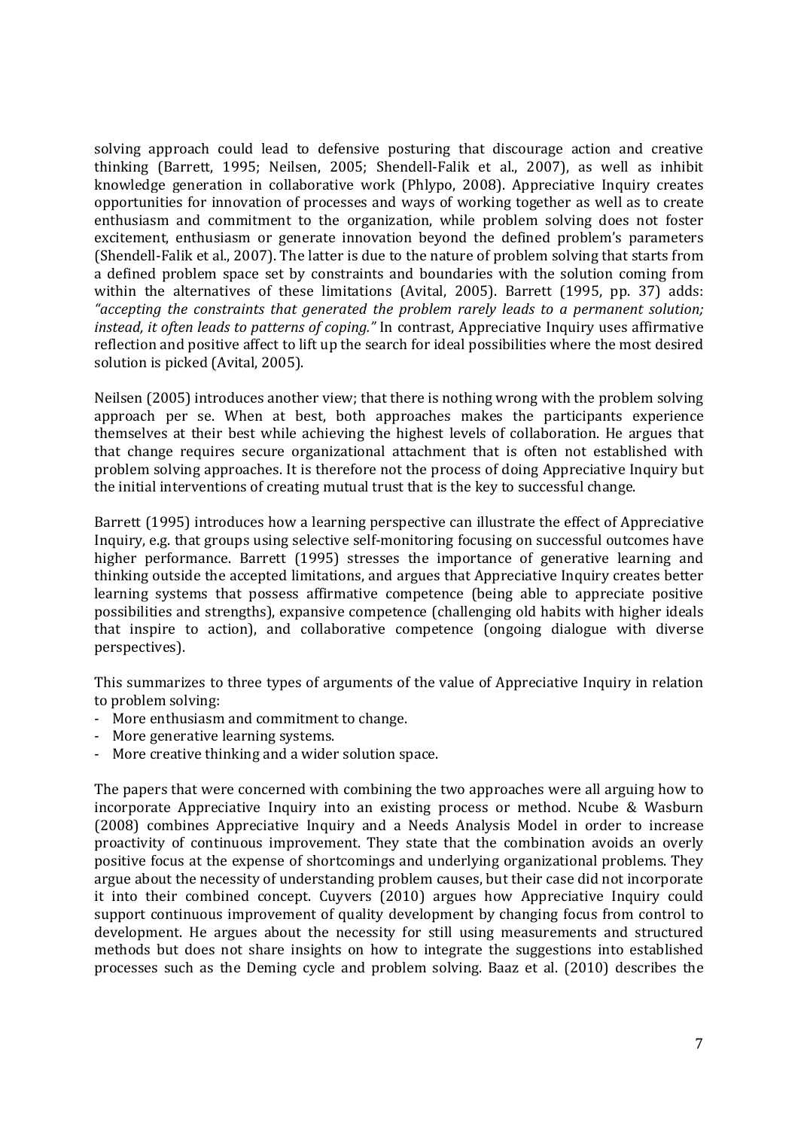solving approach could lead to defensive posturing that discourage action and creative thinking (Barrett, 1995; Neilsen, 2005; Shendell-Falik et al., 2007), as well as inhibit knowledge generation in collaborative work (Phlypo, 2008). Appreciative Inquiry creates opportunities for innovation of processes and ways of working together as well as to create enthusiasm and commitment to the organization, while problem solving does not foster excitement, enthusiasm or generate innovation beyond the defined problem's parameters (Shendell-Falik et al., 2007). The latter is due to the nature of problem solving that starts from a defined problem space set by constraints and boundaries with the solution coming from within the alternatives of these limitations (Avital, 2005). Barrett (1995, pp. 37) adds: *"accepting) the) constraints) that) generated) the) problem) rarely) leads) to) a) permanent) solution;) instead, it often leads to patterns of coping."* In contrast, Appreciative Inquiry uses affirmative reflection and positive affect to lift up the search for ideal possibilities where the most desired solution is picked (Avital, 2005).

Neilsen (2005) introduces another view; that there is nothing wrong with the problem solving approach per se. When at best, both approaches makes the participants experience themselves at their best while achieving the highest levels of collaboration. He argues that that change requires secure organizational attachment that is often not established with problem solving approaches. It is therefore not the process of doing Appreciative Inquiry but the initial interventions of creating mutual trust that is the key to successful change.

Barrett (1995) introduces how a learning perspective can illustrate the effect of Appreciative Inquiry, e.g. that groups using selective self-monitoring focusing on successful outcomes have higher performance. Barrett (1995) stresses the importance of generative learning and thinking outside the accepted limitations, and argues that Appreciative Inquiry creates better learning systems that possess affirmative competence (being able to appreciate positive possibilities and strengths), expansive competence (challenging old habits with higher ideals that inspire to action), and collaborative competence (ongoing dialogue with diverse perspectives).

This summarizes to three types of arguments of the value of Appreciative Inquiry in relation to problem solving:

- More enthusiasm and commitment to change.
- More generative learning systems.
- More creative thinking and a wider solution space.

The papers that were concerned with combining the two approaches were all arguing how to incorporate Appreciative Inquiry into an existing process or method. Ncube & Wasburn (2008) combines Appreciative Inquiry and a Needs Analysis Model in order to increase proactivity of continuous improvement. They state that the combination avoids an overly positive focus at the expense of shortcomings and underlying organizational problems. They argue about the necessity of understanding problem causes, but their case did not incorporate it into their combined concept. Cuyvers (2010) argues how Appreciative Inquiry could support continuous improvement of quality development by changing focus from control to development. He argues about the necessity for still using measurements and structured methods but does not share insights on how to integrate the suggestions into established processes such as the Deming cycle and problem solving. Baaz et al. (2010) describes the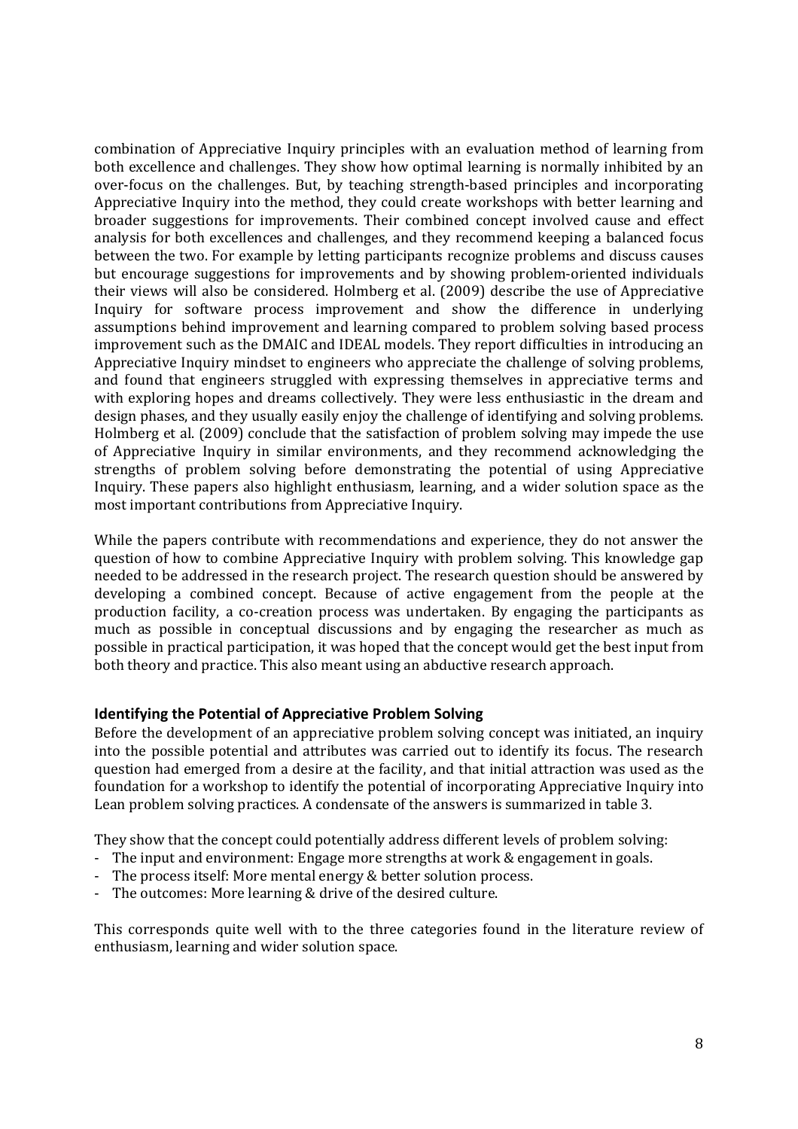combination of Appreciative Inquiry principles with an evaluation method of learning from both excellence and challenges. They show how optimal learning is normally inhibited by an over-focus on the challenges. But, by teaching strength-based principles and incorporating Appreciative Inquiry into the method, they could create workshops with better learning and broader suggestions for improvements. Their combined concept involved cause and effect analysis for both excellences and challenges, and they recommend keeping a balanced focus between the two. For example by letting participants recognize problems and discuss causes but encourage suggestions for improvements and by showing problem-oriented individuals their views will also be considered. Holmberg et al. (2009) describe the use of Appreciative Inquiry for software process improvement and show the difference in underlying assumptions behind improvement and learning compared to problem solving based process improvement such as the DMAIC and IDEAL models. They report difficulties in introducing an Appreciative Inquiry mindset to engineers who appreciate the challenge of solving problems, and found that engineers struggled with expressing themselves in appreciative terms and with exploring hopes and dreams collectively. They were less enthusiastic in the dream and design phases, and they usually easily enjoy the challenge of identifying and solving problems. Holmberg et al. (2009) conclude that the satisfaction of problem solving may impede the use of Appreciative Inquiry in similar environments, and they recommend acknowledging the strengths of problem solving before demonstrating the potential of using Appreciative Inquiry. These papers also highlight enthusiasm, learning, and a wider solution space as the most important contributions from Appreciative Inquiry.

While the papers contribute with recommendations and experience, they do not answer the question of how to combine Appreciative Inquiry with problem solving. This knowledge gap needed to be addressed in the research project. The research question should be answered by developing a combined concept. Because of active engagement from the people at the production facility, a co-creation process was undertaken. By engaging the participants as much as possible in conceptual discussions and by engaging the researcher as much as possible in practical participation, it was hoped that the concept would get the best input from both theory and practice. This also meant using an abductive research approach.

#### **Identifying the Potential of Appreciative Problem Solving**

Before the development of an appreciative problem solving concept was initiated, an inquiry into the possible potential and attributes was carried out to identify its focus. The research question had emerged from a desire at the facility, and that initial attraction was used as the foundation for a workshop to identify the potential of incorporating Appreciative Inquiry into Lean problem solving practices. A condensate of the answers is summarized in table 3.

They show that the concept could potentially address different levels of problem solving:

- The input and environment: Engage more strengths at work & engagement in goals.
- The process itself: More mental energy & better solution process.
- The outcomes: More learning & drive of the desired culture.

This corresponds quite well with to the three categories found in the literature review of enthusiasm, learning and wider solution space.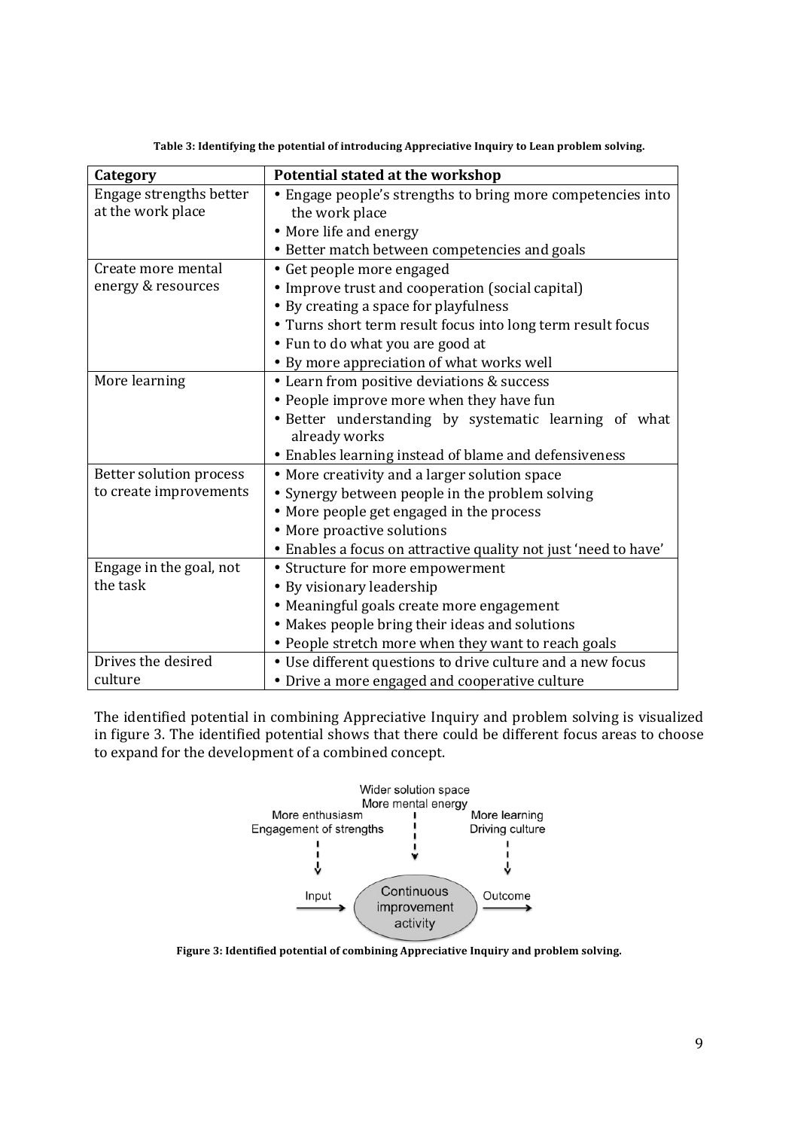| Category                | Potential stated at the workshop                                       |
|-------------------------|------------------------------------------------------------------------|
| Engage strengths better | • Engage people's strengths to bring more competencies into            |
| at the work place       | the work place                                                         |
|                         | • More life and energy                                                 |
|                         | • Better match between competencies and goals                          |
| Create more mental      | • Get people more engaged                                              |
| energy & resources      | • Improve trust and cooperation (social capital)                       |
|                         | • By creating a space for playfulness                                  |
|                         | • Turns short term result focus into long term result focus            |
|                         | • Fun to do what you are good at                                       |
|                         | • By more appreciation of what works well                              |
| More learning           | • Learn from positive deviations & success                             |
|                         | • People improve more when they have fun                               |
|                         | • Better understanding by systematic learning of what<br>already works |
|                         | • Enables learning instead of blame and defensiveness                  |
| Better solution process | • More creativity and a larger solution space                          |
| to create improvements  | • Synergy between people in the problem solving                        |
|                         | • More people get engaged in the process                               |
|                         | • More proactive solutions                                             |
|                         | • Enables a focus on attractive quality not just 'need to have'        |
| Engage in the goal, not | • Structure for more empowerment                                       |
| the task                | • By visionary leadership                                              |
|                         | • Meaningful goals create more engagement                              |
|                         | • Makes people bring their ideas and solutions                         |
|                         | • People stretch more when they want to reach goals                    |
| Drives the desired      | • Use different questions to drive culture and a new focus             |
| culture                 | · Drive a more engaged and cooperative culture                         |

Table 3: Identifying the potential of introducing Appreciative Inquiry to Lean problem solving.

The identified potential in combining Appreciative Inquiry and problem solving is visualized in figure 3. The identified potential shows that there could be different focus areas to choose to expand for the development of a combined concept.



Figure 3: Identified potential of combining Appreciative Inquiry and problem solving.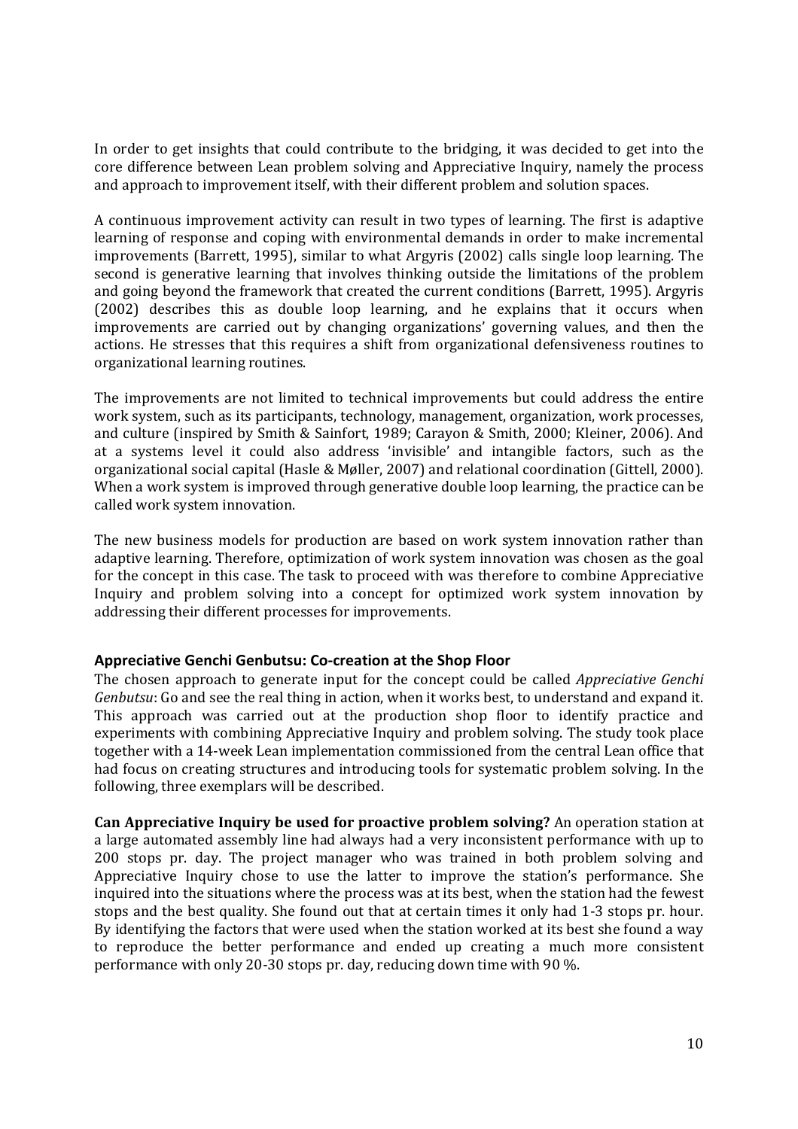In order to get insights that could contribute to the bridging, it was decided to get into the core difference between Lean problem solving and Appreciative Inquiry, namely the process and approach to improvement itself, with their different problem and solution spaces.

A continuous improvement activity can result in two types of learning. The first is adaptive learning of response and coping with environmental demands in order to make incremental improvements (Barrett, 1995), similar to what Argyris (2002) calls single loop learning. The second is generative learning that involves thinking outside the limitations of the problem and going beyond the framework that created the current conditions (Barrett, 1995). Argyris  $(2002)$  describes this as double loop learning, and he explains that it occurs when improvements are carried out by changing organizations' governing values, and then the actions. He stresses that this requires a shift from organizational defensiveness routines to organizational learning routines.

The improvements are not limited to technical improvements but could address the entire work system, such as its participants, technology, management, organization, work processes, and culture (inspired by Smith & Sainfort, 1989; Carayon & Smith, 2000; Kleiner, 2006). And at a systems level it could also address 'invisible' and intangible factors, such as the organizational social capital (Hasle & Møller, 2007) and relational coordination (Gittell, 2000). When a work system is improved through generative double loop learning, the practice can be called work system innovation.

The new business models for production are based on work system innovation rather than adaptive learning. Therefore, optimization of work system innovation was chosen as the goal for the concept in this case. The task to proceed with was therefore to combine Appreciative Inquiry and problem solving into a concept for optimized work system innovation by addressing their different processes for improvements.

#### Appreciative Genchi Genbutsu: Co-creation at the Shop Floor

The chosen approach to generate input for the concept could be called *Appreciative Genchi Genbutsu*: Go and see the real thing in action, when it works best, to understand and expand it. This approach was carried out at the production shop floor to identify practice and experiments with combining Appreciative Inquiry and problem solving. The study took place together with a 14-week Lean implementation commissioned from the central Lean office that had focus on creating structures and introducing tools for systematic problem solving. In the following, three exemplars will be described.

**Can Appreciative Inquiry be used for proactive problem solving?** An operation station at a large automated assembly line had always had a very inconsistent performance with up to 200 stops pr. day. The project manager who was trained in both problem solving and Appreciative Inquiry chose to use the latter to improve the station's performance. She inquired into the situations where the process was at its best, when the station had the fewest stops and the best quality. She found out that at certain times it only had 1-3 stops pr. hour. By identifying the factors that were used when the station worked at its best she found a way to reproduce the better performance and ended up creating a much more consistent performance with only 20-30 stops pr. day, reducing down time with 90 %.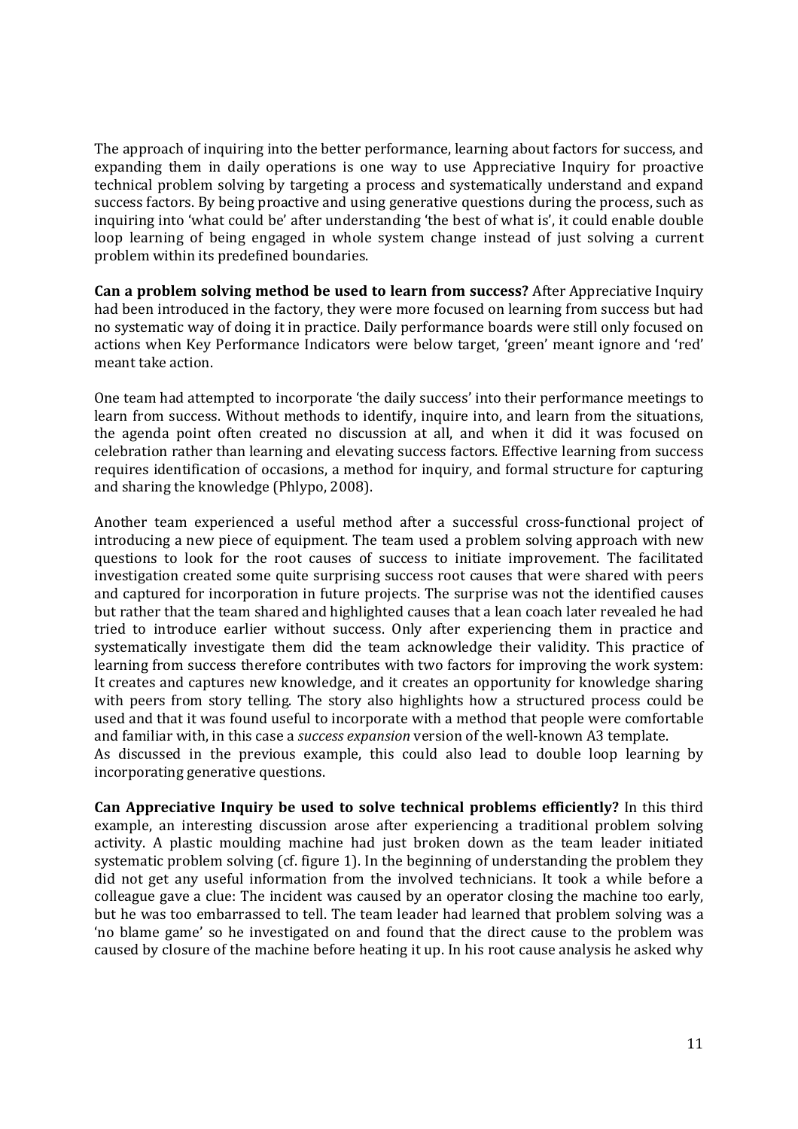The approach of inquiring into the better performance, learning about factors for success, and expanding them in daily operations is one way to use Appreciative Inquiry for proactive technical problem solving by targeting a process and systematically understand and expand success factors. By being proactive and using generative questions during the process, such as inquiring into 'what could be' after understanding 'the best of what is', it could enable double loop learning of being engaged in whole system change instead of just solving a current problem within its predefined boundaries.

**Can a problem solving method be used to learn from success?** After Appreciative Inquiry had been introduced in the factory, they were more focused on learning from success but had no systematic way of doing it in practice. Daily performance boards were still only focused on actions when Key Performance Indicators were below target, 'green' meant ignore and 'red' meant take action.

One team had attempted to incorporate 'the daily success' into their performance meetings to learn from success. Without methods to identify, inquire into, and learn from the situations, the agenda point often created no discussion at all, and when it did it was focused on celebration rather than learning and elevating success factors. Effective learning from success requires identification of occasions, a method for inquiry, and formal structure for capturing and sharing the knowledge (Phlypo, 2008).

Another team experienced a useful method after a successful cross-functional project of introducing a new piece of equipment. The team used a problem solving approach with new questions to look for the root causes of success to initiate improvement. The facilitated investigation created some quite surprising success root causes that were shared with peers and captured for incorporation in future projects. The surprise was not the identified causes but rather that the team shared and highlighted causes that a lean coach later revealed he had tried to introduce earlier without success. Only after experiencing them in practice and systematically investigate them did the team acknowledge their validity. This practice of learning from success therefore contributes with two factors for improving the work system: It creates and captures new knowledge, and it creates an opportunity for knowledge sharing with peers from story telling. The story also highlights how a structured process could be used and that it was found useful to incorporate with a method that people were comfortable and familiar with, in this case a *success expansion* version of the well-known A3 template. As discussed in the previous example, this could also lead to double loop learning by incorporating generative questions.

**Can Appreciative Inquiry be used to solve technical problems efficiently?** In this third example, an interesting discussion arose after experiencing a traditional problem solving activity. A plastic moulding machine had just broken down as the team leader initiated systematic problem solving (cf. figure 1). In the beginning of understanding the problem they did not get any useful information from the involved technicians. It took a while before a colleague gave a clue: The incident was caused by an operator closing the machine too early, but he was too embarrassed to tell. The team leader had learned that problem solving was a 'no blame game' so he investigated on and found that the direct cause to the problem was caused by closure of the machine before heating it up. In his root cause analysis he asked why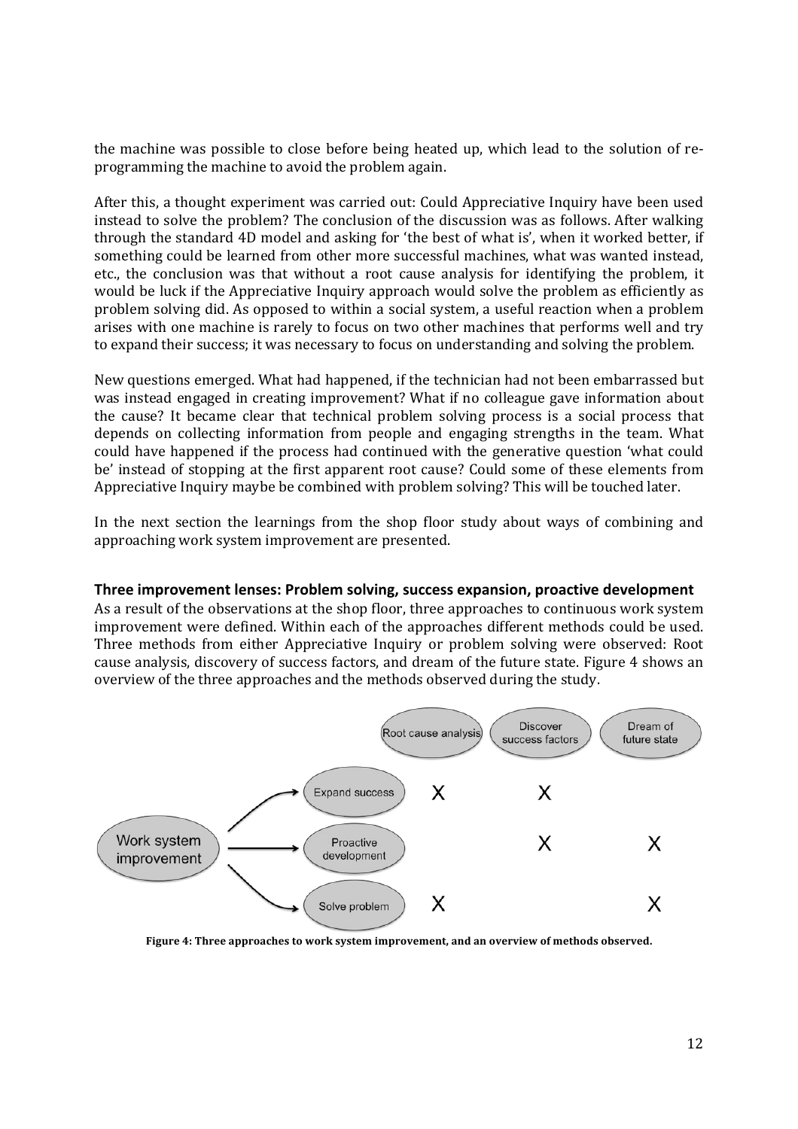the machine was possible to close before being heated up, which lead to the solution of reprogramming the machine to avoid the problem again.

After this, a thought experiment was carried out: Could Appreciative Inquiry have been used instead to solve the problem? The conclusion of the discussion was as follows. After walking through the standard 4D model and asking for 'the best of what is', when it worked better, if something could be learned from other more successful machines, what was wanted instead, etc., the conclusion was that without a root cause analysis for identifying the problem, it would be luck if the Appreciative Inquiry approach would solve the problem as efficiently as problem solving did. As opposed to within a social system, a useful reaction when a problem arises with one machine is rarely to focus on two other machines that performs well and try to expand their success; it was necessary to focus on understanding and solving the problem.

New questions emerged. What had happened, if the technician had not been embarrassed but was instead engaged in creating improvement? What if no colleague gave information about the cause? It became clear that technical problem solving process is a social process that depends on collecting information from people and engaging strengths in the team. What could have happened if the process had continued with the generative question 'what could be' instead of stopping at the first apparent root cause? Could some of these elements from Appreciative Inquiry maybe be combined with problem solving? This will be touched later.

In the next section the learnings from the shop floor study about ways of combining and approaching work system improvement are presented.

#### Three improvement lenses: Problem solving, success expansion, proactive development

As a result of the observations at the shop floor, three approaches to continuous work system improvement were defined. Within each of the approaches different methods could be used. Three methods from either Appreciative Inquiry or problem solving were observed: Root cause analysis, discovery of success factors, and dream of the future state. Figure 4 shows an overview of the three approaches and the methods observed during the study.



**Figure 4: Three approaches to work system improvement, and an overview of methods observed.**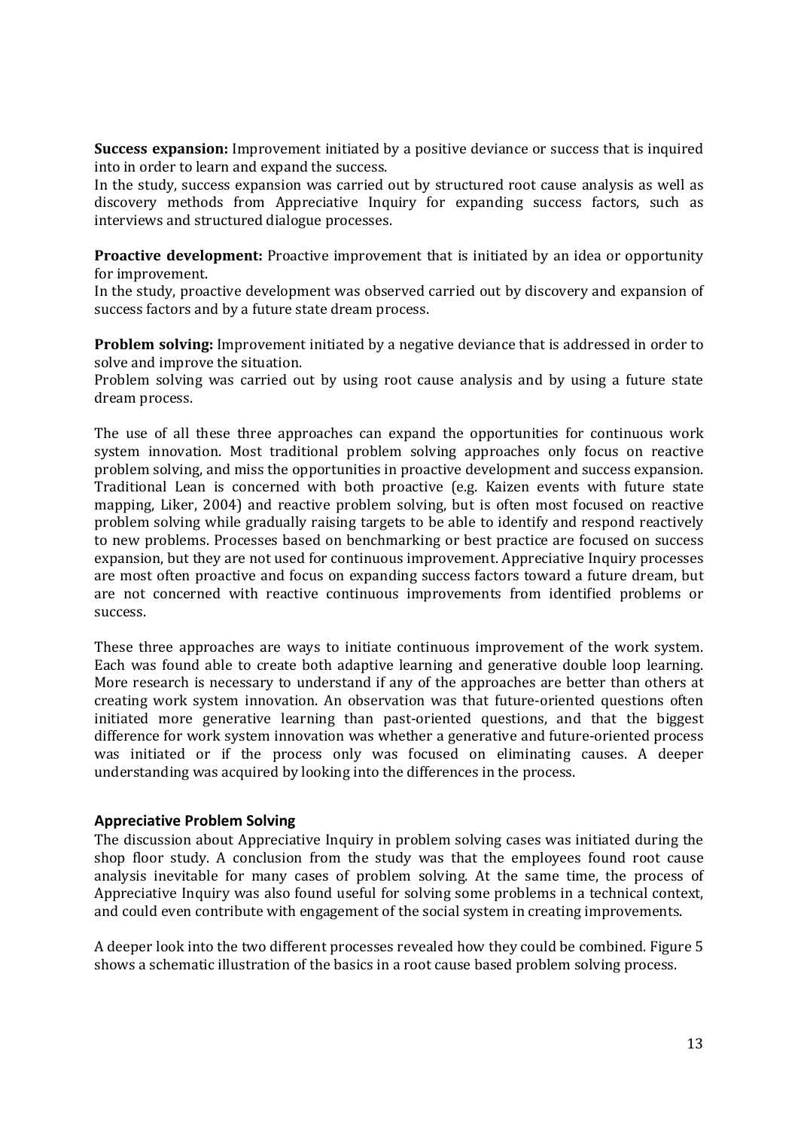**Success expansion:** Improvement initiated by a positive deviance or success that is inquired into in order to learn and expand the success.

In the study, success expansion was carried out by structured root cause analysis as well as discovery methods from Appreciative Inquiry for expanding success factors, such as interviews and structured dialogue processes.

**Proactive development:** Proactive improvement that is initiated by an idea or opportunity for improvement.

In the study, proactive development was observed carried out by discovery and expansion of success factors and by a future state dream process.

**Problem solving:** Improvement initiated by a negative deviance that is addressed in order to solve and improve the situation.

Problem solving was carried out by using root cause analysis and by using a future state dream process.

The use of all these three approaches can expand the opportunities for continuous work system innovation. Most traditional problem solving approaches only focus on reactive problem solving, and miss the opportunities in proactive development and success expansion. Traditional Lean is concerned with both proactive (e.g. Kaizen events with future state mapping, Liker, 2004) and reactive problem solving, but is often most focused on reactive problem solving while gradually raising targets to be able to identify and respond reactively to new problems. Processes based on benchmarking or best practice are focused on success expansion, but they are not used for continuous improvement. Appreciative Inquiry processes are most often proactive and focus on expanding success factors toward a future dream, but are not concerned with reactive continuous improvements from identified problems or success.!

These three approaches are ways to initiate continuous improvement of the work system. Each was found able to create both adaptive learning and generative double loop learning. More research is necessary to understand if any of the approaches are better than others at creating work system innovation. An observation was that future-oriented questions often initiated more generative learning than past-oriented questions, and that the biggest difference for work system innovation was whether a generative and future-oriented process was initiated or if the process only was focused on eliminating causes. A deeper understanding was acquired by looking into the differences in the process.

#### **Appreciative Problem Solving**

The discussion about Appreciative Inquiry in problem solving cases was initiated during the shop floor study. A conclusion from the study was that the employees found root cause analysis inevitable for many cases of problem solving. At the same time, the process of Appreciative Inquiry was also found useful for solving some problems in a technical context, and could even contribute with engagement of the social system in creating improvements.

A deeper look into the two different processes revealed how they could be combined. Figure 5 shows a schematic illustration of the basics in a root cause based problem solving process.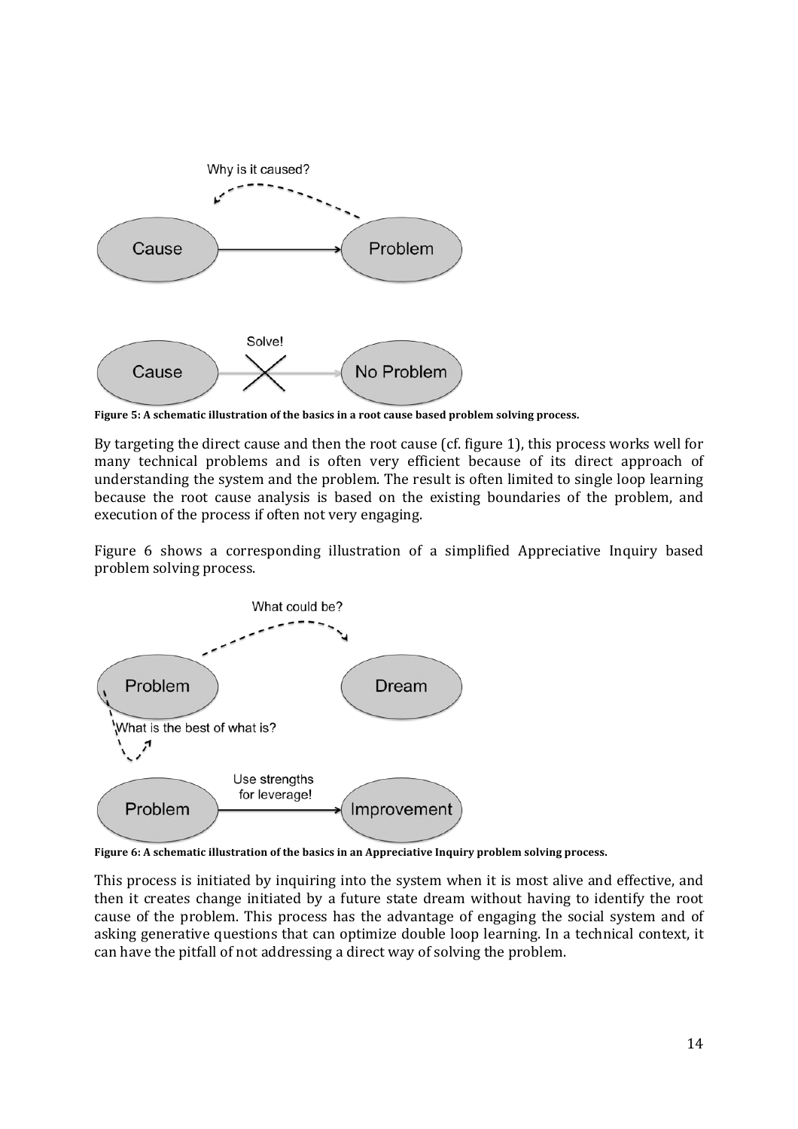

Figure 5: A schematic illustration of the basics in a root cause based problem solving process.

By targeting the direct cause and then the root cause (cf. figure 1), this process works well for many technical problems and is often very efficient because of its direct approach of understanding the system and the problem. The result is often limited to single loop learning because the root cause analysis is based on the existing boundaries of the problem, and execution of the process if often not very engaging.

Figure 6 shows a corresponding illustration of a simplified Appreciative Inquiry based problem solving process.



**Figure** 6: A schematic illustration of the basics in an Appreciative Inquiry problem solving process.

This process is initiated by inquiring into the system when it is most alive and effective, and then it creates change initiated by a future state dream without having to identify the root cause of the problem. This process has the advantage of engaging the social system and of asking generative questions that can optimize double loop learning. In a technical context, it can have the pitfall of not addressing a direct way of solving the problem.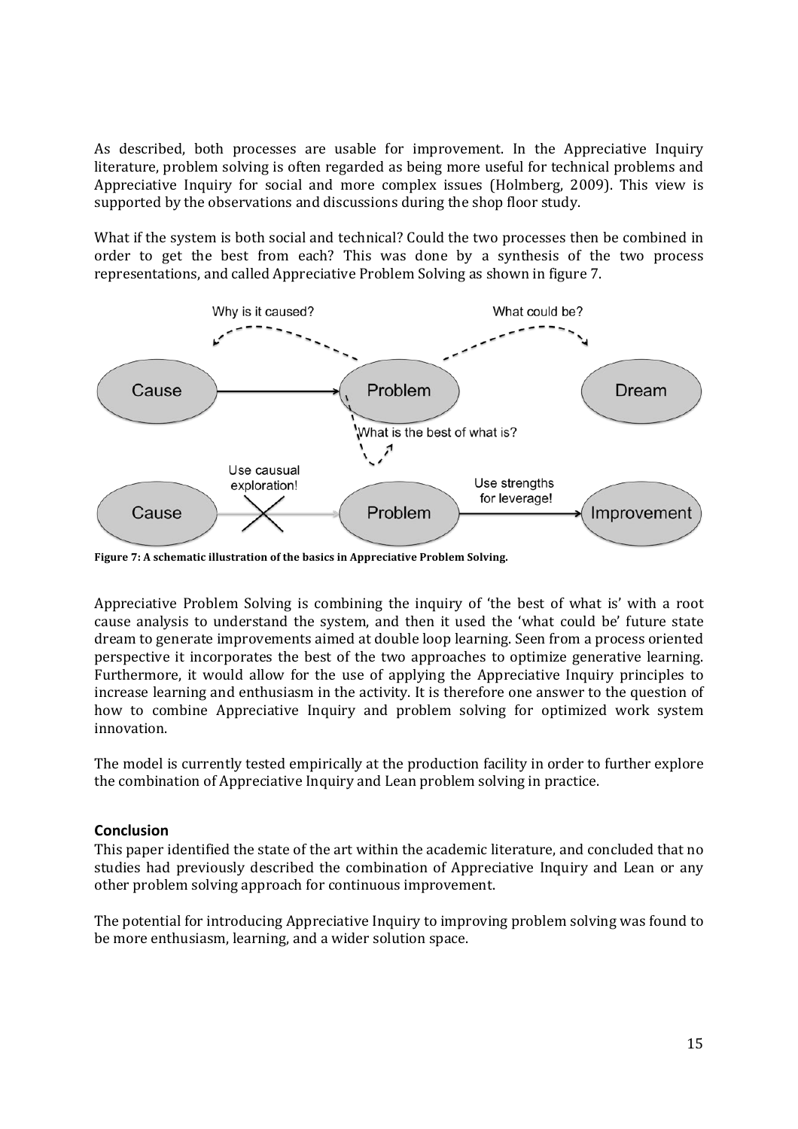As described, both processes are usable for improvement. In the Appreciative Inquiry literature, problem solving is often regarded as being more useful for technical problems and Appreciative Inquiry for social and more complex issues (Holmberg, 2009). This view is supported by the observations and discussions during the shop floor study.

What if the system is both social and technical? Could the two processes then be combined in order to get the best from each? This was done by a synthesis of the two process representations, and called Appreciative Problem Solving as shown in figure 7.



**Figure** 7: A schematic illustration of the basics in Appreciative Problem Solving.

Appreciative Problem Solving is combining the inquiry of 'the best of what is' with a root cause analysis to understand the system, and then it used the 'what could be' future state dream to generate improvements aimed at double loop learning. Seen from a process oriented perspective it incorporates the best of the two approaches to optimize generative learning. Furthermore, it would allow for the use of applying the Appreciative Inquiry principles to increase learning and enthusiasm in the activity. It is therefore one answer to the question of how to combine Appreciative Inquiry and problem solving for optimized work system innovation.

The model is currently tested empirically at the production facility in order to further explore the combination of Appreciative Inquiry and Lean problem solving in practice.

#### **Conclusion**

This paper identified the state of the art within the academic literature, and concluded that no studies had previously described the combination of Appreciative Inquiry and Lean or any other problem solving approach for continuous improvement.

The potential for introducing Appreciative Inquiry to improving problem solving was found to be more enthusiasm, learning, and a wider solution space.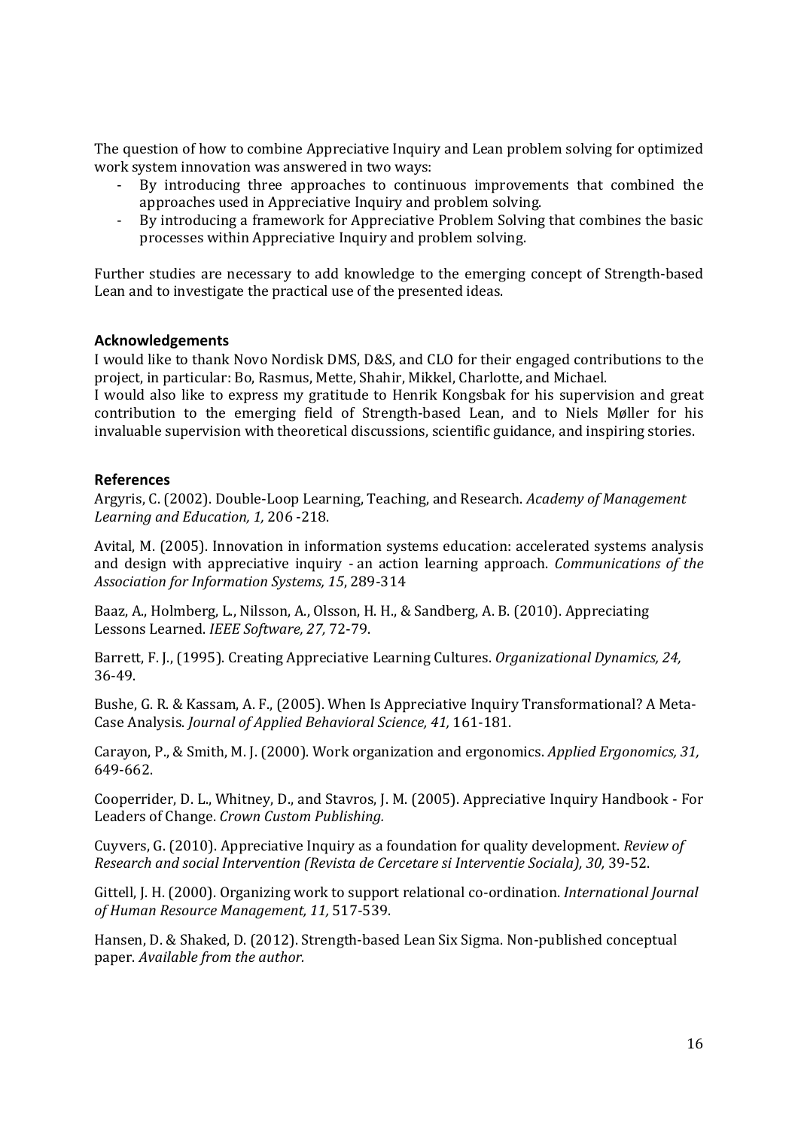The question of how to combine Appreciative Inquiry and Lean problem solving for optimized work system innovation was answered in two ways:

- By introducing three approaches to continuous improvements that combined the approaches used in Appreciative Inquiry and problem solving.
- By introducing a framework for Appreciative Problem Solving that combines the basic processes within Appreciative Inquiry and problem solving.

Further studies are necessary to add knowledge to the emerging concept of Strength-based Lean and to investigate the practical use of the presented ideas.

#### **Acknowledgements**

I would like to thank Novo Nordisk DMS, D&S, and CLO for their engaged contributions to the project, in particular: Bo, Rasmus, Mette, Shahir, Mikkel, Charlotte, and Michael.

I would also like to express my gratitude to Henrik Kongsbak for his supervision and great contribution to the emerging field of Strength-based Lean, and to Niels Møller for his invaluable supervision with theoretical discussions, scientific guidance, and inspiring stories.

#### **References**

Argyris, C. (2002). Double-Loop Learning, Teaching, and Research. *Academy of Management Learning and Education, 1, 206 -218.* 

Avital, M. (2005). Innovation in information systems education: accelerated systems analysis and design with appreciative inquiry - an action learning approach. *Communications of the Association for Information Systems, 15, 289-314* 

Baaz, A., Holmberg, L., Nilsson, A., Olsson, H. H., & Sandberg, A. B. (2010). Appreciating Lessons Learned. *IEEE Software, 27, 72-79.* 

Barrett, F. J., (1995). Creating Appreciative Learning Cultures. *Organizational Dynamics, 24,* 36-49.

Bushe, G. R. & Kassam, A. F., (2005). When Is Appreciative Inquiry Transformational? A Meta-Case Analysis. *Journal of Applied Behavioral Science, 41,* 161-181.

Carayon, P., & Smith, M. J. (2000). Work organization and ergonomics. *Applied Ergonomics, 31,* 649-662.

Cooperrider, D. L., Whitney, D., and Stavros, J. M. (2005). Appreciative Inquiry Handbook - For Leaders of Change. *Crown Custom Publishing.* 

Cuyvers, G. (2010). Appreciative Inquiry as a foundation for quality development. *Review of Research and social Intervention (Revista de Cercetare si Interventie Sociala), 30, 39-52.* 

Gittell, J. H. (2000). Organizing work to support relational co-ordination. *International Journal* of Human Resource Management, 11, 517-539.

Hansen, D. & Shaked, D. (2012). Strength-based Lean Six Sigma. Non-published conceptual paper. Available from the author.